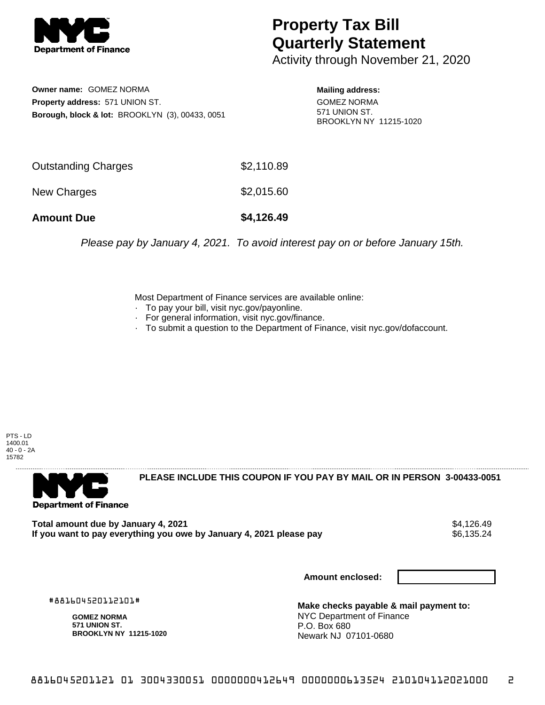

## **Property Tax Bill Quarterly Statement**

Activity through November 21, 2020

**Owner name:** GOMEZ NORMA **Property address:** 571 UNION ST. **Borough, block & lot:** BROOKLYN (3), 00433, 0051

**Mailing address:** GOMEZ NORMA 571 UNION ST. BROOKLYN NY 11215-1020

| <b>Amount Due</b>   | \$4,126.49 |
|---------------------|------------|
| New Charges         | \$2,015.60 |
| Outstanding Charges | \$2,110.89 |

Please pay by January 4, 2021. To avoid interest pay on or before January 15th.

Most Department of Finance services are available online:

- · To pay your bill, visit nyc.gov/payonline.
- For general information, visit nyc.gov/finance.
- · To submit a question to the Department of Finance, visit nyc.gov/dofaccount.

PTS - LD 1400.01 40 - 0 - 2A 15782



**PLEASE INCLUDE THIS COUPON IF YOU PAY BY MAIL OR IN PERSON 3-00433-0051** 

Total amount due by January 4, 2021<br>If you want to pay everything you owe by January 4, 2021 please pay **show that the set of the set of the set of** If you want to pay everything you owe by January 4, 2021 please pay

**Amount enclosed:**

#881604520112101#

**GOMEZ NORMA 571 UNION ST. BROOKLYN NY 11215-1020**

**Make checks payable & mail payment to:** NYC Department of Finance P.O. Box 680 Newark NJ 07101-0680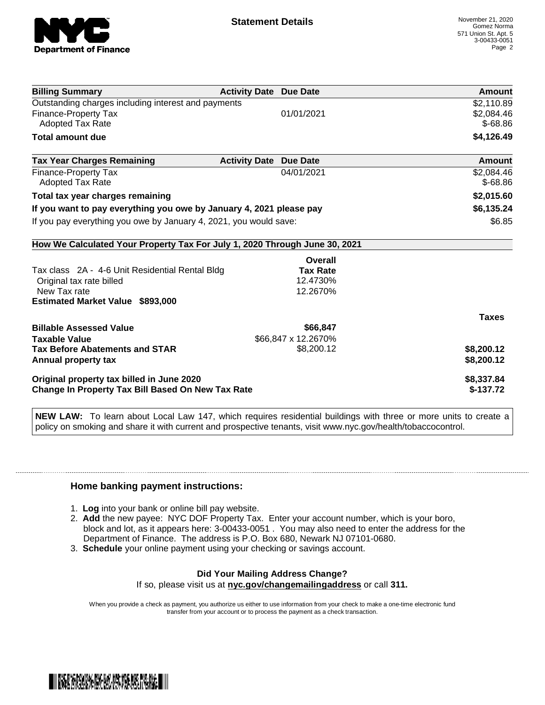

| <b>Billing Summary</b>                                                     | <b>Activity Date Due Date</b>           | Amount       |
|----------------------------------------------------------------------------|-----------------------------------------|--------------|
| Outstanding charges including interest and payments                        |                                         | \$2,110.89   |
| Finance-Property Tax                                                       | 01/01/2021                              | \$2.084.46   |
| Adopted Tax Rate                                                           |                                         | $$-68.86$    |
| <b>Total amount due</b>                                                    |                                         | \$4,126.49   |
| <b>Tax Year Charges Remaining</b>                                          | <b>Activity Date</b><br><b>Due Date</b> | Amount       |
| Finance-Property Tax                                                       | 04/01/2021                              | \$2,084.46   |
| <b>Adopted Tax Rate</b>                                                    |                                         | $$-68.86$    |
| Total tax year charges remaining                                           |                                         | \$2,015.60   |
| If you want to pay everything you owe by January 4, 2021 please pay        |                                         | \$6,135.24   |
| If you pay everything you owe by January 4, 2021, you would save:          |                                         | \$6.85       |
| How We Calculated Your Property Tax For July 1, 2020 Through June 30, 2021 |                                         |              |
|                                                                            | Overall                                 |              |
| Tax class 2A - 4-6 Unit Residential Rental Bldg                            | <b>Tax Rate</b>                         |              |
| Original tax rate billed                                                   | 12.4730%                                |              |
| New Tax rate                                                               | 12.2670%                                |              |
| <b>Estimated Market Value \$893,000</b>                                    |                                         |              |
|                                                                            |                                         | <b>Taxes</b> |
| <b>Billable Assessed Value</b>                                             | \$66,847                                |              |
| <b>Taxable Value</b>                                                       | \$66,847 x 12.2670%                     |              |
| <b>Tax Before Abatements and STAR</b>                                      | \$8,200.12                              | \$8,200.12   |
| Annual property tax                                                        |                                         | \$8,200.12   |
| Original property tax billed in June 2020                                  |                                         | \$8,337.84   |
| Change In Property Tax Bill Based On New Tax Rate                          |                                         | $$-137.72$   |

**NEW LAW:** To learn about Local Law 147, which requires residential buildings with three or more units to create a policy on smoking and share it with current and prospective tenants, visit www.nyc.gov/health/tobaccocontrol.

## **Home banking payment instructions:**

- 1. **Log** into your bank or online bill pay website.
- 2. **Add** the new payee: NYC DOF Property Tax. Enter your account number, which is your boro, block and lot, as it appears here: 3-00433-0051 . You may also need to enter the address for the Department of Finance. The address is P.O. Box 680, Newark NJ 07101-0680.
- 3. **Schedule** your online payment using your checking or savings account.

## **Did Your Mailing Address Change?** If so, please visit us at **nyc.gov/changemailingaddress** or call **311.**

When you provide a check as payment, you authorize us either to use information from your check to make a one-time electronic fund

transfer from your account or to process the payment as a check transaction.